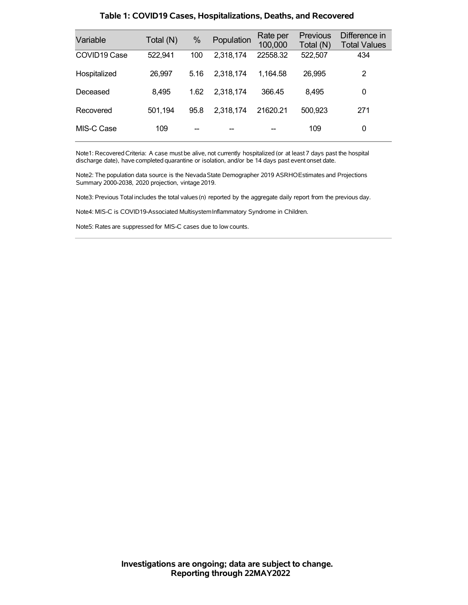| Variable                 | Total (N) | %    | Population | Rate per<br>100,000 | <b>Previous</b><br>Total (N) | Difference in<br><b>Total Values</b> |
|--------------------------|-----------|------|------------|---------------------|------------------------------|--------------------------------------|
| COVID <sub>19</sub> Case | 522,941   | 100  | 2,318,174  | 22558.32            | 522,507                      | 434                                  |
| Hospitalized             | 26,997    | 5.16 | 2,318,174  | 1.164.58            | 26.995                       | 2                                    |
| Deceased                 | 8,495     | 1.62 | 2.318.174  | 366.45              | 8.495                        | 0                                    |
| Recovered                | 501,194   | 95.8 | 2,318,174  | 21620.21            | 500,923                      | 271                                  |
| MIS-C Case               | 109       |      |            |                     | 109                          | 0                                    |

### **Table 1: COVID19 Cases, Hospitalizations, Deaths, and Recovered**

Note1: Recovered Criteria: A case must be alive, not currently hospitalized (or at least 7 days past the hospital discharge date), have completed quarantine or isolation, and/or be 14 days past event onset date.

Note2: The population data source is the Nevada State Demographer 2019 ASRHOEstimates and Projections Summary 2000-2038, 2020 projection, vintage 2019.

Note3: Previous Total includes the total values(n) reported by the aggregate daily report from the previous day.

Note4: MIS-C is COVID19-Associated MultisystemInflammatory Syndrome in Children.

Note5: Rates are suppressed for MIS-C cases due to low counts.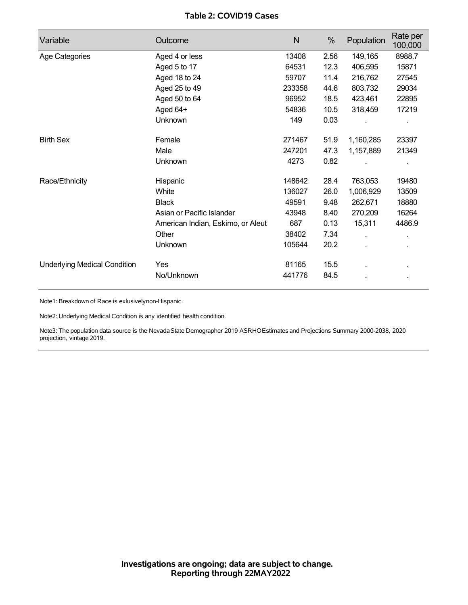### **Table 2: COVID19 Cases**

| Variable                            | Outcome                           | N      | %    | Population   | Rate per<br>100,000 |
|-------------------------------------|-----------------------------------|--------|------|--------------|---------------------|
| Age Categories                      | Aged 4 or less                    | 13408  | 2.56 | 149,165      | 8988.7              |
|                                     | Aged 5 to 17                      | 64531  | 12.3 | 406,595      | 15871               |
|                                     | Aged 18 to 24                     | 59707  | 11.4 | 216,762      | 27545               |
|                                     | Aged 25 to 49                     | 233358 | 44.6 | 803,732      | 29034               |
|                                     | Aged 50 to 64                     | 96952  | 18.5 | 423,461      | 22895               |
|                                     | Aged 64+                          | 54836  | 10.5 | 318,459      | 17219               |
|                                     | Unknown                           | 149    | 0.03 |              |                     |
| <b>Birth Sex</b>                    | Female                            | 271467 | 51.9 | 1,160,285    | 23397               |
|                                     | Male                              | 247201 | 47.3 | 1,157,889    | 21349               |
|                                     | Unknown                           | 4273   | 0.82 |              |                     |
| Race/Ethnicity                      | Hispanic                          | 148642 | 28.4 | 763,053      | 19480               |
|                                     | White                             | 136027 | 26.0 | 1,006,929    | 13509               |
|                                     | <b>Black</b>                      | 49591  | 9.48 | 262,671      | 18880               |
|                                     | Asian or Pacific Islander         | 43948  | 8.40 | 270,209      | 16264               |
|                                     | American Indian, Eskimo, or Aleut | 687    | 0.13 | 15,311       | 4486.9              |
|                                     | Other                             | 38402  | 7.34 | $\mathbf{r}$ |                     |
|                                     | Unknown                           | 105644 | 20.2 |              |                     |
| <b>Underlying Medical Condition</b> | Yes                               | 81165  | 15.5 |              |                     |
|                                     | No/Unknown                        | 441776 | 84.5 |              |                     |

Note1: Breakdown of Race is exlusivelynon-Hispanic.

Note2: Underlying Medical Condition is any identified health condition.

Note3: The population data source is the Nevada State Demographer 2019 ASRHOEstimates and Projections Summary 2000-2038, 2020 projection, vintage 2019.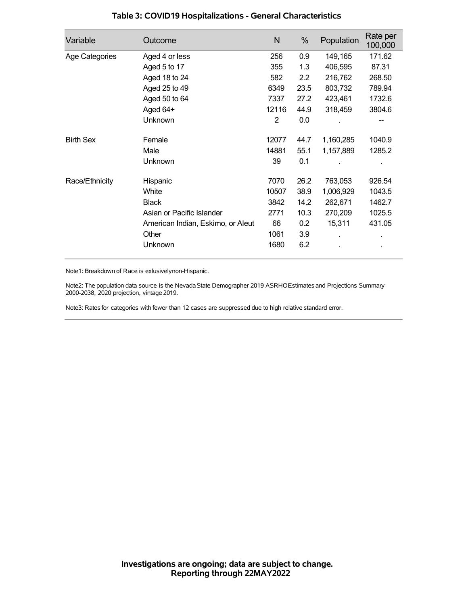| Variable         | Outcome                           | N     | %    | Population | Rate per<br>100,000 |
|------------------|-----------------------------------|-------|------|------------|---------------------|
| Age Categories   | Aged 4 or less                    | 256   | 0.9  | 149,165    | 171.62              |
|                  | Aged 5 to 17                      | 355   | 1.3  | 406,595    | 87.31               |
|                  | Aged 18 to 24                     | 582   | 2.2  | 216,762    | 268.50              |
|                  | Aged 25 to 49                     | 6349  | 23.5 | 803,732    | 789.94              |
|                  | Aged 50 to 64                     | 7337  | 27.2 | 423,461    | 1732.6              |
|                  | Aged 64+                          | 12116 | 44.9 | 318,459    | 3804.6              |
|                  | Unknown                           | 2     | 0.0  |            |                     |
| <b>Birth Sex</b> | Female                            | 12077 | 44.7 | 1,160,285  | 1040.9              |
|                  | Male                              | 14881 | 55.1 | 1,157,889  | 1285.2              |
|                  | Unknown                           | 39    | 0.1  |            |                     |
| Race/Ethnicity   | Hispanic                          | 7070  | 26.2 | 763,053    | 926.54              |
|                  | White                             | 10507 | 38.9 | 1,006,929  | 1043.5              |
|                  | <b>Black</b>                      | 3842  | 14.2 | 262,671    | 1462.7              |
|                  | Asian or Pacific Islander         | 2771  | 10.3 | 270,209    | 1025.5              |
|                  | American Indian, Eskimo, or Aleut | 66    | 0.2  | 15,311     | 431.05              |
|                  | Other                             | 1061  | 3.9  |            |                     |
|                  | Unknown                           | 1680  | 6.2  |            |                     |

## **Table 3: COVID19 Hospitalizations - General Characteristics**

Note1: Breakdown of Race is exlusivelynon-Hispanic.

Note2: The population data source is the Nevada State Demographer 2019 ASRHOEstimates and Projections Summary 2000-2038, 2020 projection, vintage 2019.

Note3: Rates for categories with fewer than 12 cases are suppressed due to high relative standard error.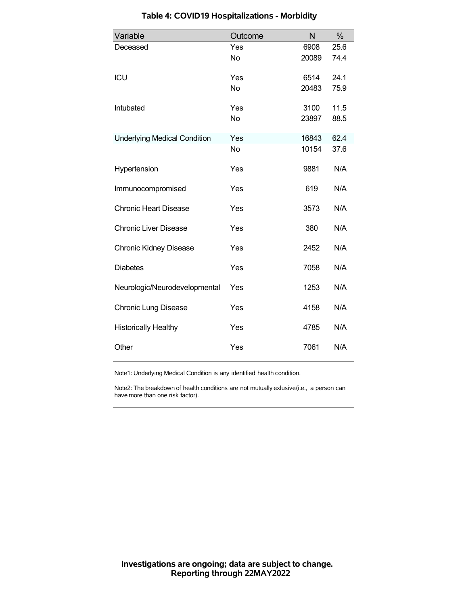| Variable                            | Outcome   | N     | %    |
|-------------------------------------|-----------|-------|------|
| Deceased                            | Yes       | 6908  | 25.6 |
|                                     | <b>No</b> | 20089 | 74.4 |
| ICU                                 | Yes       | 6514  | 24.1 |
|                                     | No        | 20483 | 75.9 |
| Intubated                           | Yes       | 3100  | 11.5 |
|                                     | <b>No</b> | 23897 | 88.5 |
| <b>Underlying Medical Condition</b> | Yes       | 16843 | 62.4 |
|                                     | No        | 10154 | 37.6 |
| Hypertension                        | Yes       | 9881  | N/A  |
| Immunocompromised                   | Yes       | 619   | N/A  |
| <b>Chronic Heart Disease</b>        | Yes       | 3573  | N/A  |
| <b>Chronic Liver Disease</b>        | Yes       | 380   | N/A  |
| <b>Chronic Kidney Disease</b>       | Yes       | 2452  | N/A  |
| <b>Diabetes</b>                     | Yes       | 7058  | N/A  |
| Neurologic/Neurodevelopmental       | Yes       | 1253  | N/A  |
| <b>Chronic Lung Disease</b>         | Yes       | 4158  | N/A  |
| <b>Historically Healthy</b>         | Yes       | 4785  | N/A  |
| Other                               | Yes       | 7061  | N/A  |

# **Table 4: COVID19 Hospitalizations - Morbidity**

Note1: Underlying Medical Condition is any identified health condition.

Note2: The breakdown of health conditions are not mutually exlusive(i.e., a person can have more than one risk factor).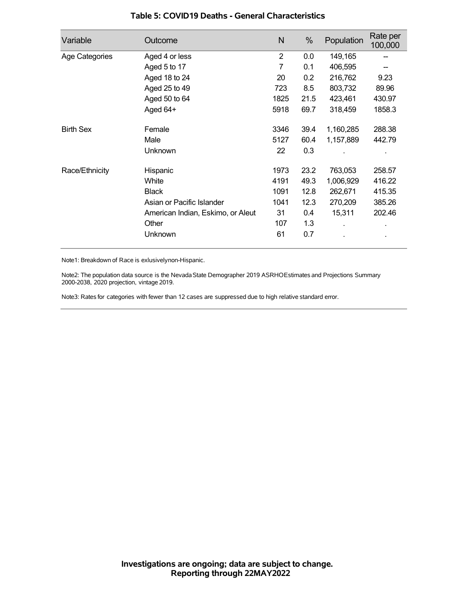| Variable         | Outcome                           | N              | %    | Population | Rate per<br>100,000 |
|------------------|-----------------------------------|----------------|------|------------|---------------------|
| Age Categories   | Aged 4 or less                    | $\overline{2}$ | 0.0  | 149,165    |                     |
|                  | Aged 5 to 17                      | 7              | 0.1  | 406,595    |                     |
|                  | Aged 18 to 24                     | 20             | 0.2  | 216,762    | 9.23                |
|                  | Aged 25 to 49                     | 723            | 8.5  | 803,732    | 89.96               |
|                  | Aged 50 to 64                     | 1825           | 21.5 | 423,461    | 430.97              |
|                  | Aged 64+                          | 5918           | 69.7 | 318,459    | 1858.3              |
| <b>Birth Sex</b> | Female                            | 3346           | 39.4 | 1,160,285  | 288.38              |
|                  | Male                              | 5127           | 60.4 | 1,157,889  | 442.79              |
|                  | Unknown                           | 22             | 0.3  |            |                     |
| Race/Ethnicity   | Hispanic                          | 1973           | 23.2 | 763,053    | 258.57              |
|                  | White                             | 4191           | 49.3 | 1,006,929  | 416.22              |
|                  | <b>Black</b>                      | 1091           | 12.8 | 262,671    | 415.35              |
|                  | Asian or Pacific Islander         | 1041           | 12.3 | 270,209    | 385.26              |
|                  | American Indian, Eskimo, or Aleut | 31             | 0.4  | 15,311     | 202.46              |
|                  | Other                             | 107            | 1.3  |            |                     |
|                  | Unknown                           | 61             | 0.7  |            | ٠                   |

#### **Table 5: COVID19 Deaths - General Characteristics**

Note1: Breakdown of Race is exlusivelynon-Hispanic.

Note2: The population data source is the Nevada State Demographer 2019 ASRHOEstimates and Projections Summary 2000-2038, 2020 projection, vintage 2019.

Note3: Rates for categories with fewer than 12 cases are suppressed due to high relative standard error.